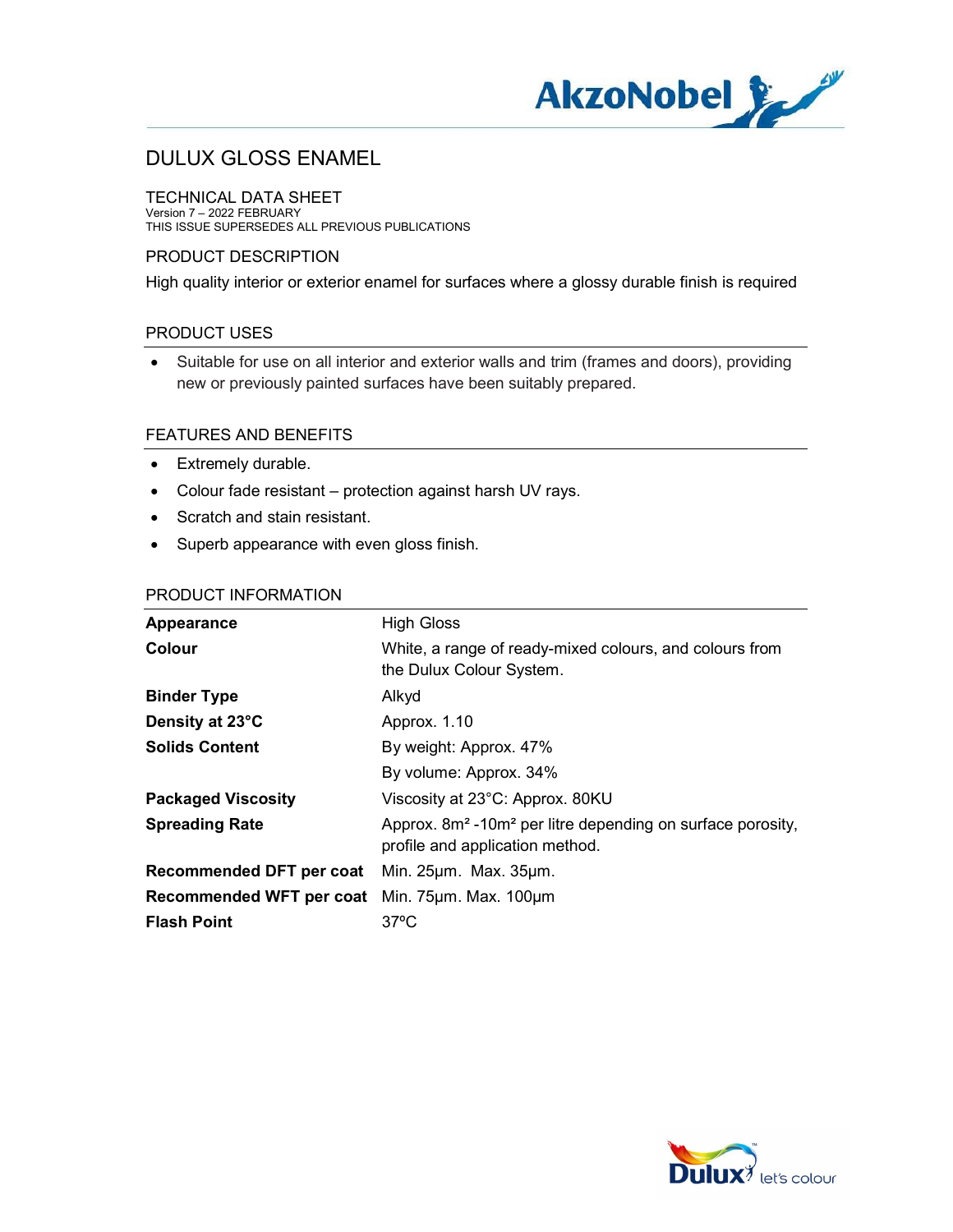

TECHNICAL DATA SHEET Version 7 – 2022 FEBRUARY THIS ISSUE SUPERSEDES ALL PREVIOUS PUBLICATIONS

## PRODUCT DESCRIPTION

High quality interior or exterior enamel for surfaces where a glossy durable finish is required

### PRODUCT USES

 Suitable for use on all interior and exterior walls and trim (frames and doors), providing new or previously painted surfaces have been suitably prepared.

### FEATURES AND BENEFITS

- Extremely durable.
- Colour fade resistant protection against harsh UV rays.
- Scratch and stain resistant.
- Superb appearance with even gloss finish.

#### PRODUCT INFORMATION

| Appearance                | <b>High Gloss</b>                                                                                                     |
|---------------------------|-----------------------------------------------------------------------------------------------------------------------|
| Colour                    | White, a range of ready-mixed colours, and colours from<br>the Dulux Colour System.                                   |
| <b>Binder Type</b>        | Alkyd                                                                                                                 |
| Density at 23°C           | Approx. 1.10                                                                                                          |
| <b>Solids Content</b>     | By weight: Approx. 47%                                                                                                |
|                           | By volume: Approx. 34%                                                                                                |
| <b>Packaged Viscosity</b> | Viscosity at 23°C: Approx. 80KU                                                                                       |
| <b>Spreading Rate</b>     | Approx. 8m <sup>2</sup> -10m <sup>2</sup> per litre depending on surface porosity,<br>profile and application method. |
| Recommended DFT per coat  | Min. 25um. Max. 35um.                                                                                                 |
| Recommended WFT per coat  | Min. $75 \mu m$ . Max. $100 \mu m$                                                                                    |
| <b>Flash Point</b>        | $37^{\circ}$ C                                                                                                        |

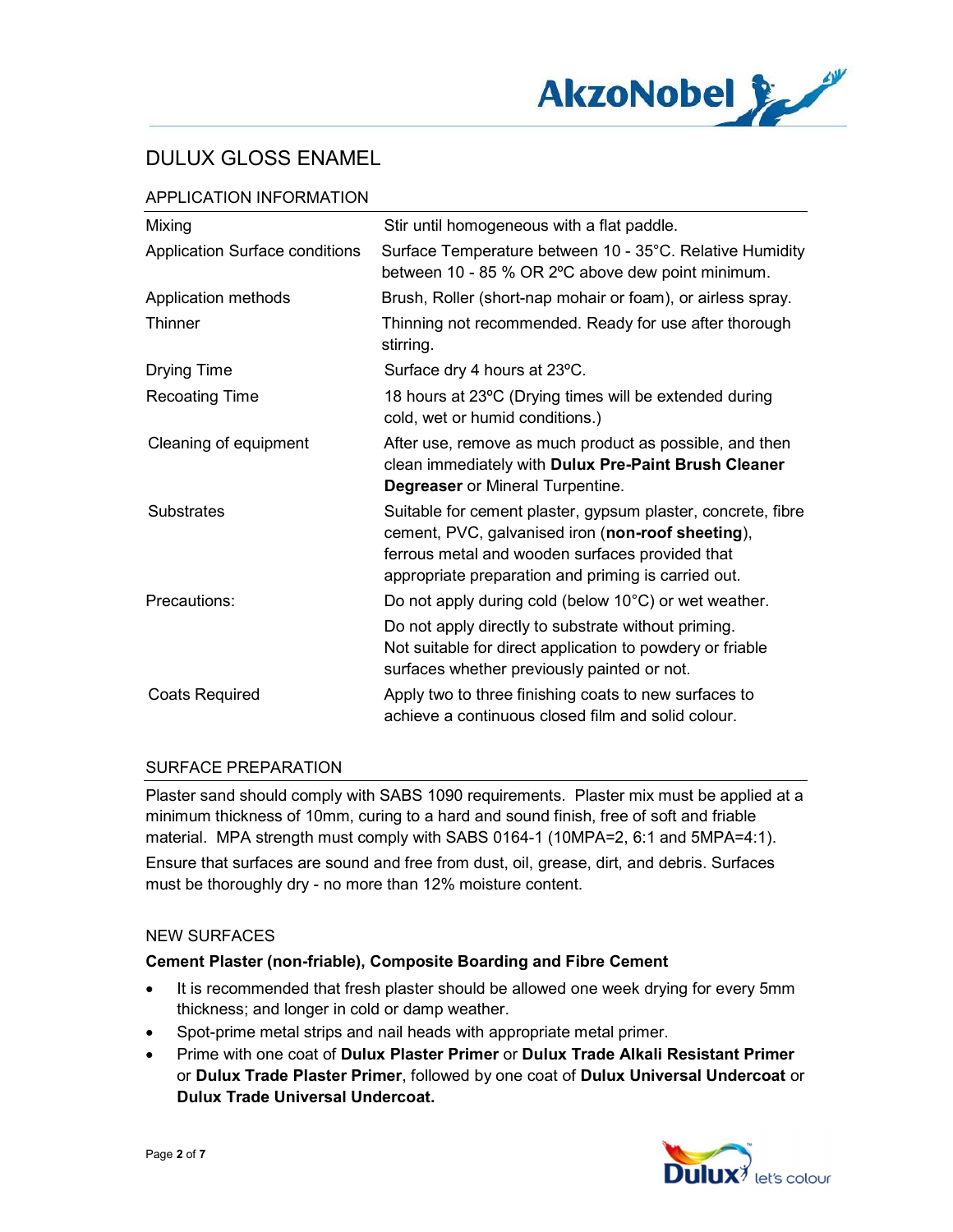

## APPLICATION INFORMATION

| Mixing                         | Stir until homogeneous with a flat paddle.                                                                                                                                                                                  |
|--------------------------------|-----------------------------------------------------------------------------------------------------------------------------------------------------------------------------------------------------------------------------|
| Application Surface conditions | Surface Temperature between 10 - 35°C. Relative Humidity<br>between 10 - 85 % OR 2°C above dew point minimum.                                                                                                               |
| Application methods            | Brush, Roller (short-nap mohair or foam), or airless spray.                                                                                                                                                                 |
| Thinner                        | Thinning not recommended. Ready for use after thorough<br>stirring.                                                                                                                                                         |
| <b>Drying Time</b>             | Surface dry 4 hours at 23°C.                                                                                                                                                                                                |
| <b>Recoating Time</b>          | 18 hours at 23°C (Drying times will be extended during<br>cold, wet or humid conditions.)                                                                                                                                   |
| Cleaning of equipment          | After use, remove as much product as possible, and then<br>clean immediately with Dulux Pre-Paint Brush Cleaner<br><b>Degreaser</b> or Mineral Turpentine.                                                                  |
| <b>Substrates</b>              | Suitable for cement plaster, gypsum plaster, concrete, fibre<br>cement, PVC, galvanised iron (non-roof sheeting),<br>ferrous metal and wooden surfaces provided that<br>appropriate preparation and priming is carried out. |
| Precautions:                   | Do not apply during cold (below 10°C) or wet weather.                                                                                                                                                                       |
|                                | Do not apply directly to substrate without priming.<br>Not suitable for direct application to powdery or friable<br>surfaces whether previously painted or not.                                                             |
| <b>Coats Required</b>          | Apply two to three finishing coats to new surfaces to<br>achieve a continuous closed film and solid colour.                                                                                                                 |

### SURFACE PREPARATION

Plaster sand should comply with SABS 1090 requirements. Plaster mix must be applied at a minimum thickness of 10mm, curing to a hard and sound finish, free of soft and friable material. MPA strength must comply with SABS 0164-1 (10MPA=2, 6:1 and 5MPA=4:1). Ensure that surfaces are sound and free from dust, oil, grease, dirt, and debris. Surfaces must be thoroughly dry - no more than 12% moisture content.

#### NEW SURFACES

### Cement Plaster (non-friable), Composite Boarding and Fibre Cement

- It is recommended that fresh plaster should be allowed one week drying for every 5mm thickness; and longer in cold or damp weather.
- Spot-prime metal strips and nail heads with appropriate metal primer.
- Prime with one coat of Dulux Plaster Primer or Dulux Trade Alkali Resistant Primer or Dulux Trade Plaster Primer, followed by one coat of Dulux Universal Undercoat or Dulux Trade Universal Undercoat.

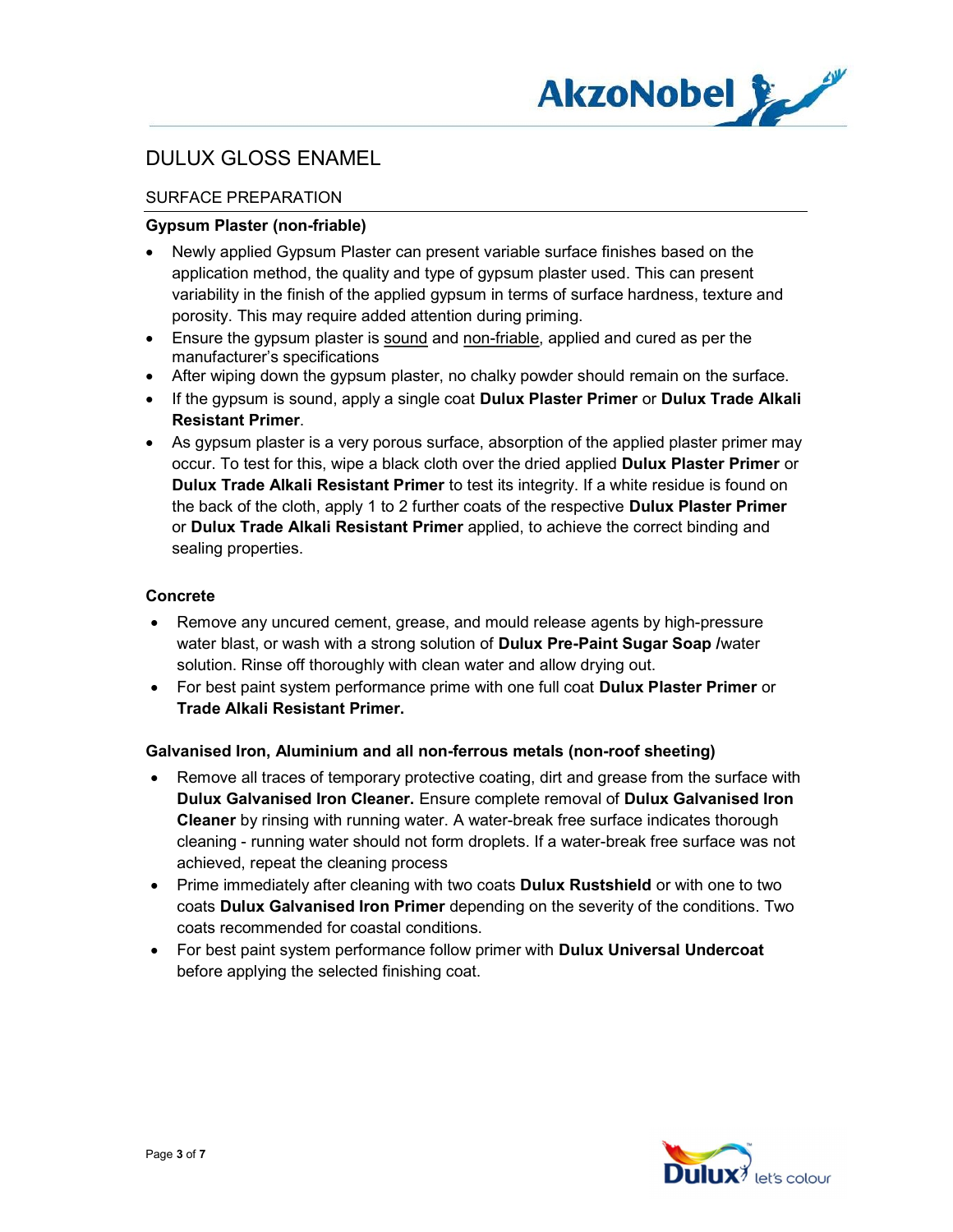

## SURFACE PREPARATION

### Gypsum Plaster (non-friable)

- Newly applied Gypsum Plaster can present variable surface finishes based on the application method, the quality and type of gypsum plaster used. This can present variability in the finish of the applied gypsum in terms of surface hardness, texture and porosity. This may require added attention during priming.
- Ensure the gypsum plaster is sound and non-friable, applied and cured as per the manufacturer's specifications
- After wiping down the gypsum plaster, no chalky powder should remain on the surface.
- If the gypsum is sound, apply a single coat Dulux Plaster Primer or Dulux Trade Alkali Resistant Primer.
- As gypsum plaster is a very porous surface, absorption of the applied plaster primer may occur. To test for this, wipe a black cloth over the dried applied Dulux Plaster Primer or Dulux Trade Alkali Resistant Primer to test its integrity. If a white residue is found on the back of the cloth, apply 1 to 2 further coats of the respective Dulux Plaster Primer or Dulux Trade Alkali Resistant Primer applied, to achieve the correct binding and sealing properties.

### Concrete

- Remove any uncured cement, grease, and mould release agents by high-pressure water blast, or wash with a strong solution of **Dulux Pre-Paint Sugar Soap** /water solution. Rinse off thoroughly with clean water and allow drying out.
- For best paint system performance prime with one full coat Dulux Plaster Primer or Trade Alkali Resistant Primer.

### Galvanised Iron, Aluminium and all non-ferrous metals (non-roof sheeting)

- Remove all traces of temporary protective coating, dirt and grease from the surface with Dulux Galvanised Iron Cleaner. Ensure complete removal of Dulux Galvanised Iron Cleaner by rinsing with running water. A water-break free surface indicates thorough cleaning - running water should not form droplets. If a water-break free surface was not achieved, repeat the cleaning process
- Prime immediately after cleaning with two coats **Dulux Rustshield** or with one to two coats Dulux Galvanised Iron Primer depending on the severity of the conditions. Two coats recommended for coastal conditions.
- For best paint system performance follow primer with Dulux Universal Undercoat before applying the selected finishing coat.

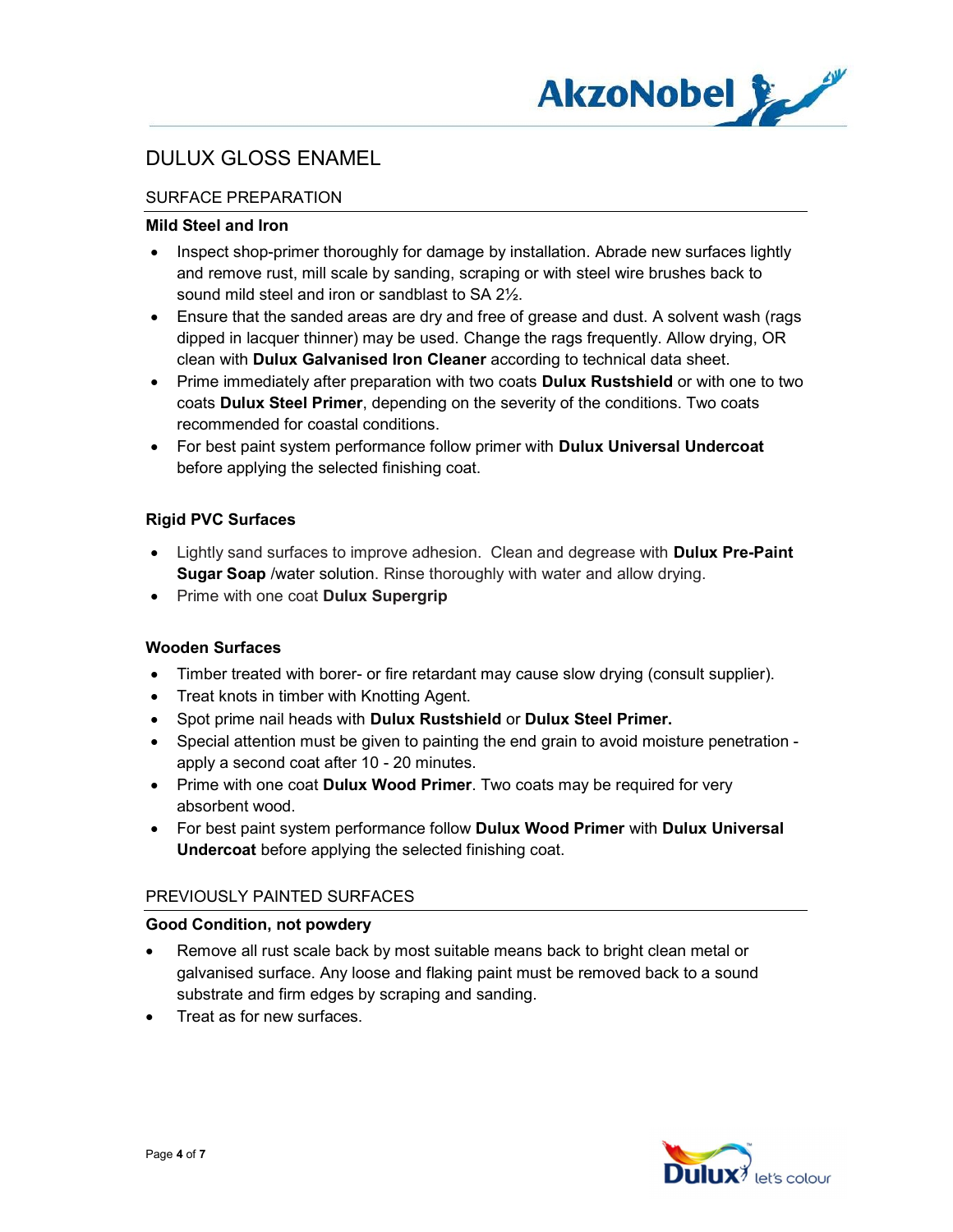

## SURFACE PREPARATION

### Mild Steel and Iron

- Inspect shop-primer thoroughly for damage by installation. Abrade new surfaces lightly and remove rust, mill scale by sanding, scraping or with steel wire brushes back to sound mild steel and iron or sandblast to SA 2½.
- Ensure that the sanded areas are dry and free of grease and dust. A solvent wash (rags dipped in lacquer thinner) may be used. Change the rags frequently. Allow drying, OR clean with Dulux Galvanised Iron Cleaner according to technical data sheet.
- Prime immediately after preparation with two coats **Dulux Rustshield** or with one to two coats Dulux Steel Primer, depending on the severity of the conditions. Two coats recommended for coastal conditions.
- For best paint system performance follow primer with **Dulux Universal Undercoat** before applying the selected finishing coat.

## Rigid PVC Surfaces

- Lightly sand surfaces to improve adhesion. Clean and degrease with **Dulux Pre-Paint Sugar Soap** /water solution. Rinse thoroughly with water and allow drying.
- Prime with one coat Dulux Supergrip

### Wooden Surfaces

- Timber treated with borer- or fire retardant may cause slow drying (consult supplier).
- Treat knots in timber with Knotting Agent.
- Spot prime nail heads with Dulux Rustshield or Dulux Steel Primer.
- Special attention must be given to painting the end grain to avoid moisture penetration apply a second coat after 10 - 20 minutes.
- Prime with one coat Dulux Wood Primer. Two coats may be required for very absorbent wood.
- For best paint system performance follow Dulux Wood Primer with Dulux Universal Undercoat before applying the selected finishing coat.

### PREVIOUSLY PAINTED SURFACES

### Good Condition, not powdery

- Remove all rust scale back by most suitable means back to bright clean metal or galvanised surface. Any loose and flaking paint must be removed back to a sound substrate and firm edges by scraping and sanding.
- Treat as for new surfaces.

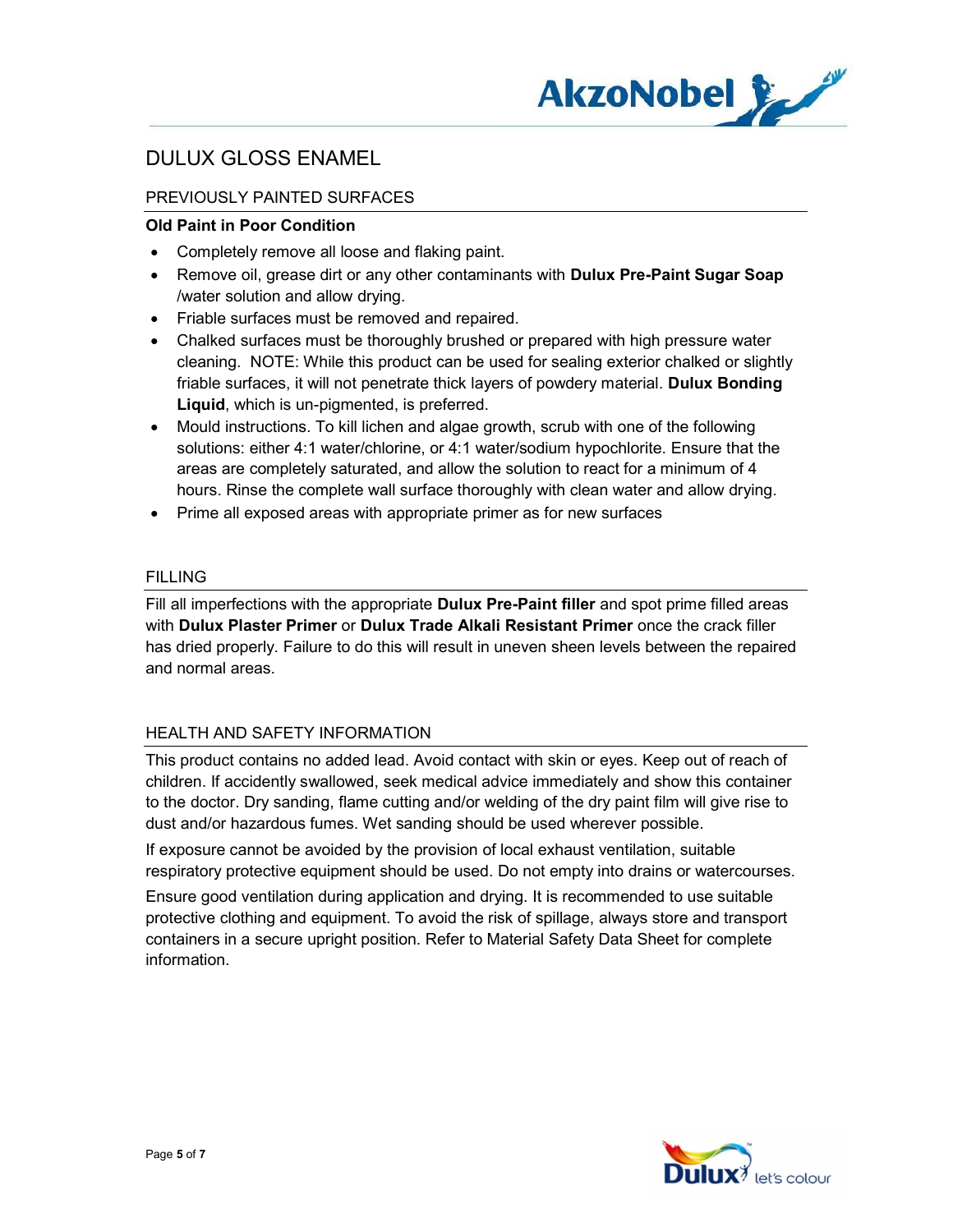

## PREVIOUSLY PAINTED SURFACES

#### Old Paint in Poor Condition

- Completely remove all loose and flaking paint.
- Remove oil, grease dirt or any other contaminants with Dulux Pre-Paint Sugar Soap /water solution and allow drying.
- Friable surfaces must be removed and repaired.
- Chalked surfaces must be thoroughly brushed or prepared with high pressure water cleaning. NOTE: While this product can be used for sealing exterior chalked or slightly friable surfaces, it will not penetrate thick layers of powdery material. Dulux Bonding Liquid, which is un-pigmented, is preferred.
- Mould instructions. To kill lichen and algae growth, scrub with one of the following solutions: either 4:1 water/chlorine, or 4:1 water/sodium hypochlorite. Ensure that the areas are completely saturated, and allow the solution to react for a minimum of 4 hours. Rinse the complete wall surface thoroughly with clean water and allow drying.
- Prime all exposed areas with appropriate primer as for new surfaces

#### FILLING

Fill all imperfections with the appropriate **Dulux Pre-Paint filler** and spot prime filled areas with Dulux Plaster Primer or Dulux Trade Alkali Resistant Primer once the crack filler has dried properly. Failure to do this will result in uneven sheen levels between the repaired and normal areas.

### HEALTH AND SAFETY INFORMATION

This product contains no added lead. Avoid contact with skin or eyes. Keep out of reach of children. If accidently swallowed, seek medical advice immediately and show this container to the doctor. Dry sanding, flame cutting and/or welding of the dry paint film will give rise to dust and/or hazardous fumes. Wet sanding should be used wherever possible.

If exposure cannot be avoided by the provision of local exhaust ventilation, suitable respiratory protective equipment should be used. Do not empty into drains or watercourses.

Ensure good ventilation during application and drying. It is recommended to use suitable protective clothing and equipment. To avoid the risk of spillage, always store and transport containers in a secure upright position. Refer to Material Safety Data Sheet for complete information.

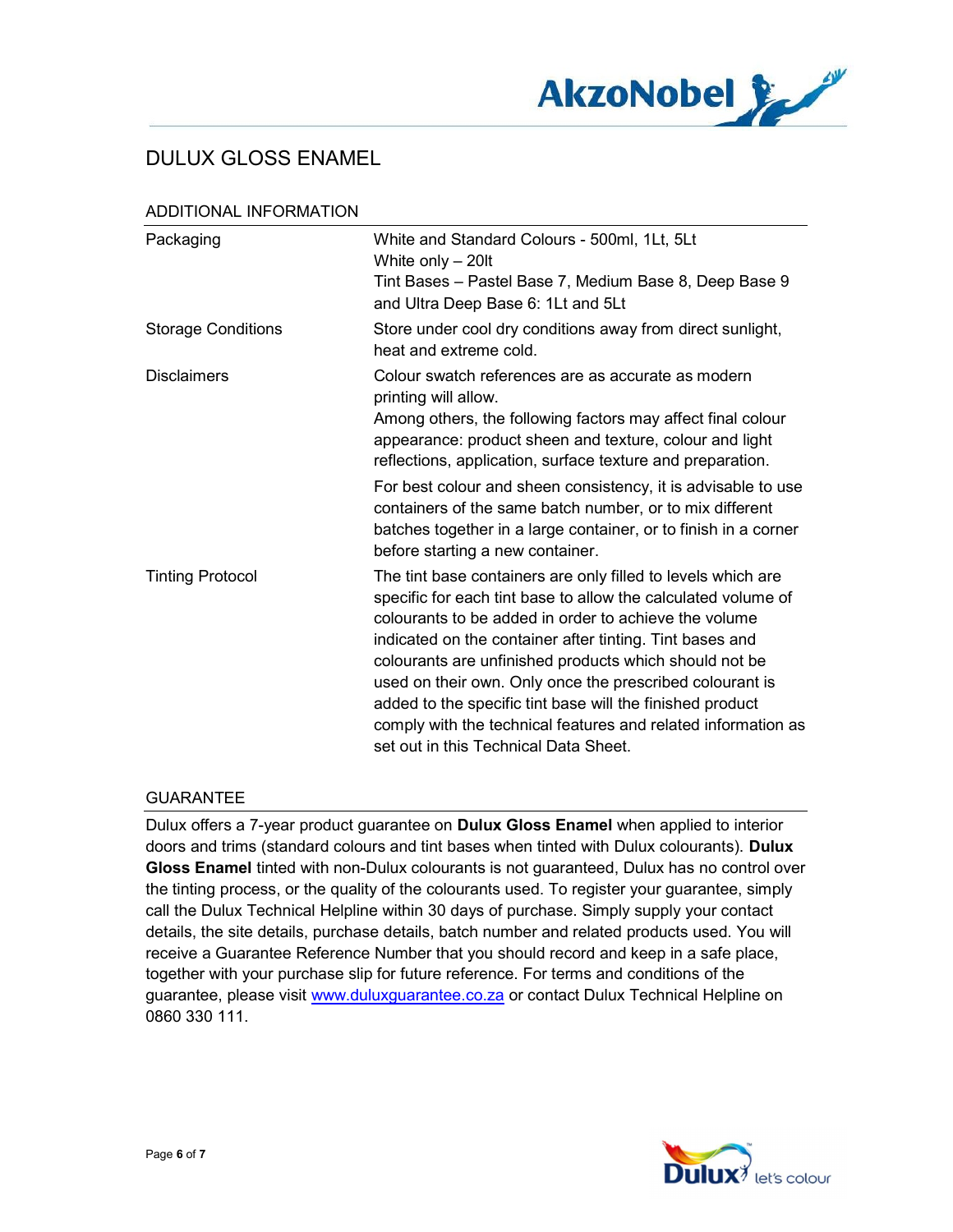

| Packaging                 | White and Standard Colours - 500ml, 1Lt, 5Lt<br>White only $-20$ lt<br>Tint Bases - Pastel Base 7, Medium Base 8, Deep Base 9<br>and Ultra Deep Base 6: 1Lt and 5Lt                                                                                                                                                                                                                                                                                                             |
|---------------------------|---------------------------------------------------------------------------------------------------------------------------------------------------------------------------------------------------------------------------------------------------------------------------------------------------------------------------------------------------------------------------------------------------------------------------------------------------------------------------------|
| <b>Storage Conditions</b> | Store under cool dry conditions away from direct sunlight,<br>heat and extreme cold.                                                                                                                                                                                                                                                                                                                                                                                            |
| <b>Disclaimers</b>        | Colour swatch references are as accurate as modern<br>printing will allow.<br>Among others, the following factors may affect final colour<br>appearance: product sheen and texture, colour and light<br>reflections, application, surface texture and preparation.<br>For best colour and sheen consistency, it is advisable to use<br>containers of the same batch number, or to mix different<br>batches together in a large container, or to finish in a corner              |
| <b>Tinting Protocol</b>   | before starting a new container.<br>The tint base containers are only filled to levels which are                                                                                                                                                                                                                                                                                                                                                                                |
|                           | specific for each tint base to allow the calculated volume of<br>colourants to be added in order to achieve the volume<br>indicated on the container after tinting. Tint bases and<br>colourants are unfinished products which should not be<br>used on their own. Only once the prescribed colourant is<br>added to the specific tint base will the finished product<br>comply with the technical features and related information as<br>set out in this Technical Data Sheet. |

#### ADDITIONAL INFORMATION

## **GUARANTEE**

Dulux offers a 7-year product guarantee on Dulux Gloss Enamel when applied to interior doors and trims (standard colours and tint bases when tinted with Dulux colourants). Dulux Gloss Enamel tinted with non-Dulux colourants is not guaranteed, Dulux has no control over the tinting process, or the quality of the colourants used. To register your guarantee, simply call the Dulux Technical Helpline within 30 days of purchase. Simply supply your contact details, the site details, purchase details, batch number and related products used. You will receive a Guarantee Reference Number that you should record and keep in a safe place, together with your purchase slip for future reference. For terms and conditions of the guarantee, please visit www.duluxguarantee.co.za or contact Dulux Technical Helpline on 0860 330 111.